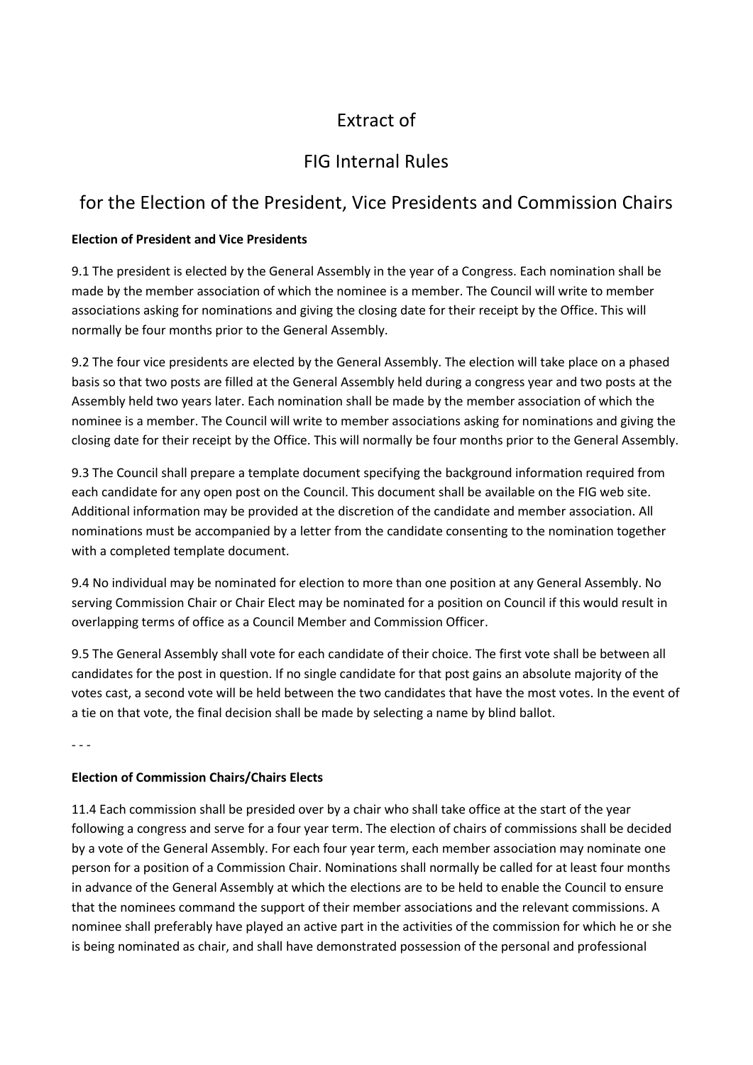# Extract of

## FIG Internal Rules

### for the Election of the President, Vice Presidents and Commission Chairs

#### **Election of President and Vice Presidents**

9.1 The president is elected by the General Assembly in the year of a Congress. Each nomination shall be made by the member association of which the nominee is a member. The Council will write to member associations asking for nominations and giving the closing date for their receipt by the Office. This will normally be four months prior to the General Assembly.

9.2 The four vice presidents are elected by the General Assembly. The election will take place on a phased basis so that two posts are filled at the General Assembly held during a congress year and two posts at the Assembly held two years later. Each nomination shall be made by the member association of which the nominee is a member. The Council will write to member associations asking for nominations and giving the closing date for their receipt by the Office. This will normally be four months prior to the General Assembly.

9.3 The Council shall prepare a template document specifying the background information required from each candidate for any open post on the Council. This document shall be available on the FIG web site. Additional information may be provided at the discretion of the candidate and member association. All nominations must be accompanied by a letter from the candidate consenting to the nomination together with a completed template document.

9.4 No individual may be nominated for election to more than one position at any General Assembly. No serving Commission Chair or Chair Elect may be nominated for a position on Council if this would result in overlapping terms of office as a Council Member and Commission Officer.

9.5 The General Assembly shall vote for each candidate of their choice. The first vote shall be between all candidates for the post in question. If no single candidate for that post gains an absolute majority of the votes cast, a second vote will be held between the two candidates that have the most votes. In the event of a tie on that vote, the final decision shall be made by selecting a name by blind ballot.

- - -

#### **Election of Commission Chairs/Chairs Elects**

11.4 Each commission shall be presided over by a chair who shall take office at the start of the year following a congress and serve for a four year term. The election of chairs of commissions shall be decided by a vote of the General Assembly. For each four year term, each member association may nominate one person for a position of a Commission Chair. Nominations shall normally be called for at least four months in advance of the General Assembly at which the elections are to be held to enable the Council to ensure that the nominees command the support of their member associations and the relevant commissions. A nominee shall preferably have played an active part in the activities of the commission for which he or she is being nominated as chair, and shall have demonstrated possession of the personal and professional